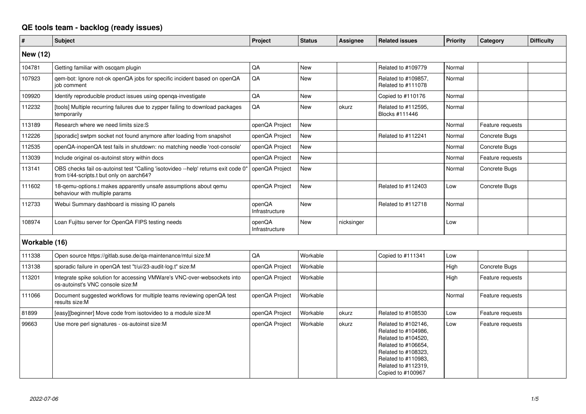## **QE tools team - backlog (ready issues)**

| $\#$          | <b>Subject</b>                                                                                                                 | Project                  | <b>Status</b> | Assignee   | <b>Related issues</b>                                                                                                                                                              | <b>Priority</b> | Category         | <b>Difficulty</b> |
|---------------|--------------------------------------------------------------------------------------------------------------------------------|--------------------------|---------------|------------|------------------------------------------------------------------------------------------------------------------------------------------------------------------------------------|-----------------|------------------|-------------------|
| New (12)      |                                                                                                                                |                          |               |            |                                                                                                                                                                                    |                 |                  |                   |
| 104781        | Getting familiar with oscqam plugin                                                                                            | QA                       | <b>New</b>    |            | Related to #109779                                                                                                                                                                 | Normal          |                  |                   |
| 107923        | qem-bot: Ignore not-ok openQA jobs for specific incident based on openQA<br>iob comment                                        | QA                       | New           |            | Related to #109857,<br>Related to #111078                                                                                                                                          | Normal          |                  |                   |
| 109920        | Identify reproducible product issues using openga-investigate                                                                  | QA                       | <b>New</b>    |            | Copied to #110176                                                                                                                                                                  | Normal          |                  |                   |
| 112232        | [tools] Multiple recurring failures due to zypper failing to download packages<br>temporarily                                  | QA                       | <b>New</b>    | okurz      | Related to #112595,<br>Blocks #111446                                                                                                                                              | Normal          |                  |                   |
| 113189        | Research where we need limits size: S                                                                                          | openQA Project           | <b>New</b>    |            |                                                                                                                                                                                    | Normal          | Feature requests |                   |
| 112226        | [sporadic] swtpm socket not found anymore after loading from snapshot                                                          | openQA Project           | <b>New</b>    |            | Related to #112241                                                                                                                                                                 | Normal          | Concrete Bugs    |                   |
| 112535        | openQA-inopenQA test fails in shutdown: no matching needle 'root-console'                                                      | openQA Project           | <b>New</b>    |            |                                                                                                                                                                                    | Normal          | Concrete Bugs    |                   |
| 113039        | Include original os-autoinst story within docs                                                                                 | openQA Project           | <b>New</b>    |            |                                                                                                                                                                                    | Normal          | Feature requests |                   |
| 113141        | OBS checks fail os-autoinst test "Calling 'isotovideo --help' returns exit code 0"<br>from t/44-scripts.t but only on aarch64? | openQA Project           | New           |            |                                                                                                                                                                                    | Normal          | Concrete Bugs    |                   |
| 111602        | 18-gemu-options.t makes apparently unsafe assumptions about gemu<br>behaviour with multiple params                             | openQA Project           | <b>New</b>    |            | Related to #112403                                                                                                                                                                 | Low             | Concrete Bugs    |                   |
| 112733        | Webui Summary dashboard is missing IO panels                                                                                   | openQA<br>Infrastructure | <b>New</b>    |            | Related to #112718                                                                                                                                                                 | Normal          |                  |                   |
| 108974        | Loan Fujitsu server for OpenQA FIPS testing needs                                                                              | openQA<br>Infrastructure | <b>New</b>    | nicksinger |                                                                                                                                                                                    | Low             |                  |                   |
| Workable (16) |                                                                                                                                |                          |               |            |                                                                                                                                                                                    |                 |                  |                   |
| 111338        | Open source https://gitlab.suse.de/qa-maintenance/mtui size:M                                                                  | QA                       | Workable      |            | Copied to #111341                                                                                                                                                                  | Low             |                  |                   |
| 113138        | sporadic failure in openQA test "t/ui/23-audit-log.t" size:M                                                                   | openQA Project           | Workable      |            |                                                                                                                                                                                    | High            | Concrete Bugs    |                   |
| 113201        | Integrate spike solution for accessing VMWare's VNC-over-websockets into<br>os-autoinst's VNC console size:M                   | openQA Project           | Workable      |            |                                                                                                                                                                                    | High            | Feature requests |                   |
| 111066        | Document suggested workflows for multiple teams reviewing openQA test<br>results size:M                                        | openQA Project           | Workable      |            |                                                                                                                                                                                    | Normal          | Feature requests |                   |
| 81899         | [easy][beginner] Move code from isotovideo to a module size:M                                                                  | openQA Project           | Workable      | okurz      | Related to #108530                                                                                                                                                                 | Low             | Feature requests |                   |
| 99663         | Use more perl signatures - os-autoinst size:M                                                                                  | openQA Project           | Workable      | okurz      | Related to #102146,<br>Related to #104986,<br>Related to #104520,<br>Related to #106654,<br>Related to #108323,<br>Related to #110983,<br>Related to #112319,<br>Copied to #100967 | Low             | Feature requests |                   |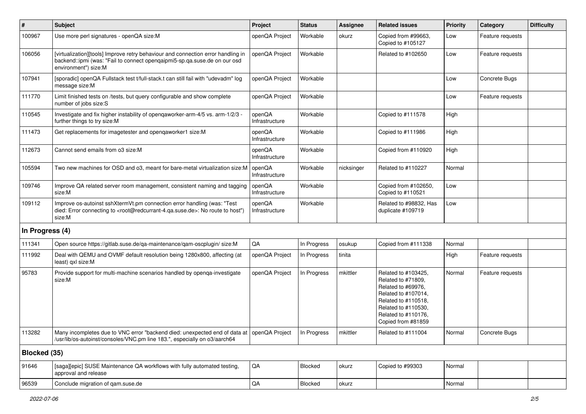| #               | Subject                                                                                                                                                                                           | Project                  | <b>Status</b> | Assignee   | <b>Related issues</b>                                                                                                                                                             | Priority | Category         | <b>Difficulty</b> |
|-----------------|---------------------------------------------------------------------------------------------------------------------------------------------------------------------------------------------------|--------------------------|---------------|------------|-----------------------------------------------------------------------------------------------------------------------------------------------------------------------------------|----------|------------------|-------------------|
| 100967          | Use more perl signatures - openQA size:M                                                                                                                                                          | openQA Project           | Workable      | okurz      | Copied from #99663,<br>Copied to #105127                                                                                                                                          | Low      | Feature requests |                   |
| 106056          | [virtualization][tools] Improve retry behaviour and connection error handling in<br>backend::ipmi (was: "Fail to connect opengaipmi5-sp.qa.suse.de on our osd<br>environment") size:M             | openQA Project           | Workable      |            | Related to #102650                                                                                                                                                                | Low      | Feature requests |                   |
| 107941          | [sporadic] openQA Fullstack test t/full-stack.t can still fail with "udevadm" log<br>message size:M                                                                                               | openQA Project           | Workable      |            |                                                                                                                                                                                   | Low      | Concrete Bugs    |                   |
| 111770          | Limit finished tests on /tests, but query configurable and show complete<br>number of jobs size:S                                                                                                 | openQA Project           | Workable      |            |                                                                                                                                                                                   | Low      | Feature requests |                   |
| 110545          | Investigate and fix higher instability of openqaworker-arm-4/5 vs. arm-1/2/3 -<br>further things to try size:M                                                                                    | openQA<br>Infrastructure | Workable      |            | Copied to #111578                                                                                                                                                                 | High     |                  |                   |
| 111473          | Get replacements for imagetester and openqaworker1 size:M                                                                                                                                         | openQA<br>Infrastructure | Workable      |            | Copied to #111986                                                                                                                                                                 | High     |                  |                   |
| 112673          | Cannot send emails from o3 size:M                                                                                                                                                                 | openQA<br>Infrastructure | Workable      |            | Copied from #110920                                                                                                                                                               | High     |                  |                   |
| 105594          | Two new machines for OSD and o3, meant for bare-metal virtualization size:M                                                                                                                       | openQA<br>Infrastructure | Workable      | nicksinger | Related to #110227                                                                                                                                                                | Normal   |                  |                   |
| 109746          | Improve QA related server room management, consistent naming and tagging<br>size:M                                                                                                                | openQA<br>Infrastructure | Workable      |            | Copied from #102650,<br>Copied to #110521                                                                                                                                         | Low      |                  |                   |
| 109112          | Improve os-autoinst sshXtermVt.pm connection error handling (was: "Test<br>died: Error connecting to <root@redcurrant-4.ga.suse.de>: No route to host")<br/>size:M</root@redcurrant-4.ga.suse.de> | openQA<br>Infrastructure | Workable      |            | Related to #98832, Has<br>duplicate #109719                                                                                                                                       | Low      |                  |                   |
| In Progress (4) |                                                                                                                                                                                                   |                          |               |            |                                                                                                                                                                                   |          |                  |                   |
| 111341          | Open source https://gitlab.suse.de/qa-maintenance/qam-oscplugin/ size:M                                                                                                                           | QA                       | In Progress   | osukup     | Copied from #111338                                                                                                                                                               | Normal   |                  |                   |
| 111992          | Deal with QEMU and OVMF default resolution being 1280x800, affecting (at<br>least) qxl size:M                                                                                                     | openQA Project           | In Progress   | tinita     |                                                                                                                                                                                   | High     | Feature requests |                   |
| 95783           | Provide support for multi-machine scenarios handled by openqa-investigate<br>size:M                                                                                                               | openQA Project           | In Progress   | mkittler   | Related to #103425,<br>Related to #71809,<br>Related to #69976,<br>Related to #107014,<br>Related to #110518,<br>Related to #110530,<br>Related to #110176,<br>Copied from #81859 | Normal   | Feature requests |                   |
| 113282          | Many incompletes due to VNC error "backend died: unexpected end of data at   openQA Project<br>/usr/lib/os-autoinst/consoles/VNC.pm line 183.", especially on o3/aarch64                          |                          | In Progress   | mkittler   | Related to #111004                                                                                                                                                                | Normal   | Concrete Bugs    |                   |
| Blocked (35)    |                                                                                                                                                                                                   |                          |               |            |                                                                                                                                                                                   |          |                  |                   |
| 91646           | [saga][epic] SUSE Maintenance QA workflows with fully automated testing,<br>approval and release                                                                                                  | QA                       | Blocked       | okurz      | Copied to #99303                                                                                                                                                                  | Normal   |                  |                   |
| 96539           | Conclude migration of qam.suse.de                                                                                                                                                                 | $\mathsf{QA}$            | Blocked       | okurz      |                                                                                                                                                                                   | Normal   |                  |                   |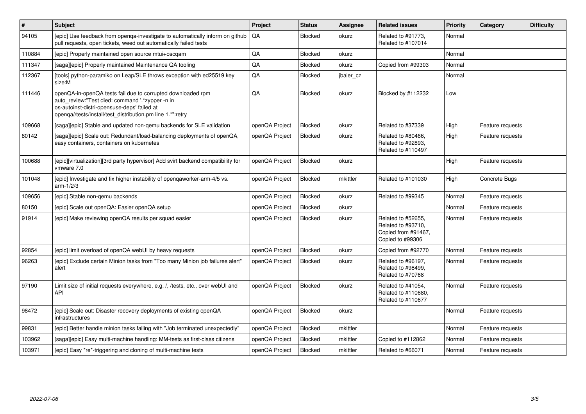| #      | Subject                                                                                                                                                                                                                     | Project        | <b>Status</b> | Assignee  | <b>Related issues</b>                                                               | <b>Priority</b> | Category         | <b>Difficulty</b> |
|--------|-----------------------------------------------------------------------------------------------------------------------------------------------------------------------------------------------------------------------------|----------------|---------------|-----------|-------------------------------------------------------------------------------------|-----------------|------------------|-------------------|
| 94105  | [epic] Use feedback from openga-investigate to automatically inform on github<br>pull requests, open tickets, weed out automatically failed tests                                                                           | QA             | Blocked       | okurz     | Related to #91773,<br>Related to #107014                                            | Normal          |                  |                   |
| 110884 | [epic] Properly maintained open source mtui+oscqam                                                                                                                                                                          | QA             | Blocked       | okurz     |                                                                                     | Normal          |                  |                   |
| 111347 | [saga][epic] Properly maintained Maintenance QA tooling                                                                                                                                                                     | QA             | Blocked       | okurz     | Copied from #99303                                                                  | Normal          |                  |                   |
| 112367 | [tools] python-paramiko on Leap/SLE throws exception with ed25519 key<br>size:M                                                                                                                                             | QA             | Blocked       | jbaier_cz |                                                                                     | Normal          |                  |                   |
| 111446 | openQA-in-openQA tests fail due to corrupted downloaded rpm<br>auto_review:"Test died: command '.*zypper -n in<br>os-autoinst-distri-opensuse-deps' failed at<br>openga//tests/install/test distribution.pm line 1.*":retry | QA             | Blocked       | okurz     | Blocked by #112232                                                                  | Low             |                  |                   |
| 109668 | [saga][epic] Stable and updated non-gemu backends for SLE validation                                                                                                                                                        | openQA Project | Blocked       | okurz     | Related to #37339                                                                   | High            | Feature requests |                   |
| 80142  | [saga][epic] Scale out: Redundant/load-balancing deployments of openQA,<br>easy containers, containers on kubernetes                                                                                                        | openQA Project | Blocked       | okurz     | Related to #80466,<br>Related to #92893,<br>Related to #110497                      | High            | Feature requests |                   |
| 100688 | [epic][virtualization][3rd party hypervisor] Add svirt backend compatibility for<br>vmware 7.0                                                                                                                              | openQA Project | Blocked       | okurz     |                                                                                     | High            | Feature requests |                   |
| 101048 | [epic] Investigate and fix higher instability of openqaworker-arm-4/5 vs.<br>$arm-1/2/3$                                                                                                                                    | openQA Project | Blocked       | mkittler  | Related to #101030                                                                  | High            | Concrete Bugs    |                   |
| 109656 | [epic] Stable non-gemu backends                                                                                                                                                                                             | openQA Project | Blocked       | okurz     | Related to #99345                                                                   | Normal          | Feature requests |                   |
| 80150  | [epic] Scale out openQA: Easier openQA setup                                                                                                                                                                                | openQA Project | Blocked       | okurz     |                                                                                     | Normal          | Feature requests |                   |
| 91914  | [epic] Make reviewing openQA results per squad easier                                                                                                                                                                       | openQA Project | Blocked       | okurz     | Related to #52655,<br>Related to #93710,<br>Copied from #91467,<br>Copied to #99306 | Normal          | Feature requests |                   |
| 92854  | [epic] limit overload of openQA webUI by heavy requests                                                                                                                                                                     | openQA Project | Blocked       | okurz     | Copied from #92770                                                                  | Normal          | Feature requests |                   |
| 96263  | [epic] Exclude certain Minion tasks from "Too many Minion job failures alert"<br>alert                                                                                                                                      | openQA Project | Blocked       | okurz     | Related to #96197,<br>Related to #98499.<br>Related to #70768                       | Normal          | Feature requests |                   |
| 97190  | Limit size of initial requests everywhere, e.g. /, /tests, etc., over webUI and<br><b>API</b>                                                                                                                               | openQA Project | Blocked       | okurz     | Related to #41054,<br>Related to #110680,<br>Related to #110677                     | Normal          | Feature requests |                   |
| 98472  | [epic] Scale out: Disaster recovery deployments of existing openQA<br>infrastructures                                                                                                                                       | openQA Project | Blocked       | okurz     |                                                                                     | Normal          | Feature requests |                   |
| 99831  | [epic] Better handle minion tasks failing with "Job terminated unexpectedly"                                                                                                                                                | openQA Project | Blocked       | mkittler  |                                                                                     | Normal          | Feature requests |                   |
| 103962 | [saga][epic] Easy multi-machine handling: MM-tests as first-class citizens                                                                                                                                                  | openQA Project | Blocked       | mkittler  | Copied to #112862                                                                   | Normal          | Feature requests |                   |
| 103971 | [epic] Easy *re*-triggering and cloning of multi-machine tests                                                                                                                                                              | openQA Project | Blocked       | mkittler  | Related to #66071                                                                   | Normal          | Feature requests |                   |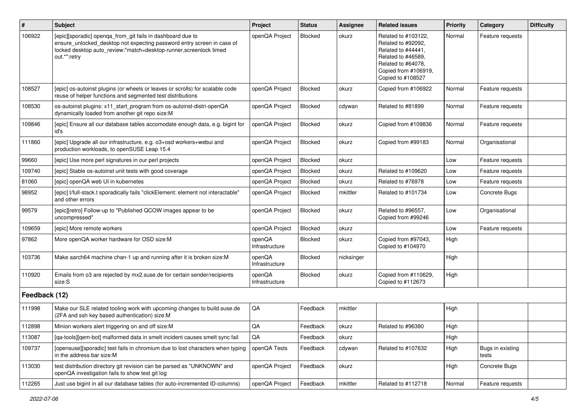| $\sharp$      | Subject                                                                                                                                                                                                                   | Project                  | <b>Status</b> | Assignee   | <b>Related issues</b>                                                                                                                                    | Priority | Category                  | <b>Difficulty</b> |
|---------------|---------------------------------------------------------------------------------------------------------------------------------------------------------------------------------------------------------------------------|--------------------------|---------------|------------|----------------------------------------------------------------------------------------------------------------------------------------------------------|----------|---------------------------|-------------------|
| 106922        | [epic][sporadic] openqa_from_git fails in dashboard due to<br>ensure_unlocked_desktop not expecting password entry screen in case of<br>locked desktop auto_review:"match=desktop-runner,screenlock timed<br>out.*":retry | openQA Project           | Blocked       | okurz      | Related to #103122,<br>Related to #92092,<br>Related to #44441,<br>Related to #46589,<br>Related to #64078,<br>Copied from #106919,<br>Copied to #108527 | Normal   | Feature requests          |                   |
| 108527        | [epic] os-autoinst plugins (or wheels or leaves or scrolls) for scalable code<br>reuse of helper functions and segmented test distributions                                                                               | openQA Project           | Blocked       | okurz      | Copied from #106922                                                                                                                                      | Normal   | Feature requests          |                   |
| 108530        | os-autoinst plugins: x11_start_program from os-autoinst-distri-openQA<br>dynamically loaded from another git repo size:M                                                                                                  | openQA Project           | Blocked       | cdywan     | Related to #81899                                                                                                                                        | Normal   | Feature requests          |                   |
| 109846        | [epic] Ensure all our database tables accomodate enough data, e.g. bigint for<br>id's                                                                                                                                     | openQA Project           | Blocked       | okurz      | Copied from #109836                                                                                                                                      | Normal   | Feature requests          |                   |
| 111860        | [epic] Upgrade all our infrastructure, e.g. o3+osd workers+webui and<br>production workloads, to openSUSE Leap 15.4                                                                                                       | openQA Project           | Blocked       | okurz      | Copied from #99183                                                                                                                                       | Normal   | Organisational            |                   |
| 99660         | [epic] Use more perl signatures in our perl projects                                                                                                                                                                      | openQA Project           | Blocked       | okurz      |                                                                                                                                                          | Low      | Feature requests          |                   |
| 109740        | [epic] Stable os-autoinst unit tests with good coverage                                                                                                                                                                   | openQA Project           | Blocked       | okurz      | Related to #109620                                                                                                                                       | Low      | Feature requests          |                   |
| 81060         | [epic] openQA web UI in kubernetes                                                                                                                                                                                        | openQA Project           | Blocked       | okurz      | Related to #76978                                                                                                                                        | Low      | Feature requests          |                   |
| 98952         | [epic] t/full-stack.t sporadically fails "clickElement: element not interactable"<br>and other errors                                                                                                                     | openQA Project           | Blocked       | mkittler   | Related to #101734                                                                                                                                       | Low      | Concrete Bugs             |                   |
| 99579         | [epic][retro] Follow-up to "Published QCOW images appear to be<br>uncompressed"                                                                                                                                           | openQA Project           | Blocked       | okurz      | Related to #96557,<br>Copied from #99246                                                                                                                 | Low      | Organisational            |                   |
| 109659        | [epic] More remote workers                                                                                                                                                                                                | openQA Project           | Blocked       | okurz      |                                                                                                                                                          | Low      | Feature requests          |                   |
| 97862         | More openQA worker hardware for OSD size:M                                                                                                                                                                                | openQA<br>Infrastructure | Blocked       | okurz      | Copied from #97043,<br>Copied to #104970                                                                                                                 | High     |                           |                   |
| 103736        | Make aarch64 machine chan-1 up and running after it is broken size:M                                                                                                                                                      | openQA<br>Infrastructure | Blocked       | nicksinger |                                                                                                                                                          | High     |                           |                   |
| 110920        | Emails from o3 are rejected by mx2.suse.de for certain sender/recipients<br>size:S                                                                                                                                        | openQA<br>Infrastructure | Blocked       | okurz      | Copied from #110629,<br>Copied to #112673                                                                                                                | High     |                           |                   |
| Feedback (12) |                                                                                                                                                                                                                           |                          |               |            |                                                                                                                                                          |          |                           |                   |
| 111998        | Make our SLE related tooling work with upcoming changes to build.suse.de<br>(2FA and ssh key based authentication) size:M                                                                                                 | QA                       | Feedback      | mkittler   |                                                                                                                                                          | High     |                           |                   |
| 112898        | Minion workers alert triggering on and off size:M                                                                                                                                                                         | QA                       | Feedback      | okurz      | Related to #96380                                                                                                                                        | High     |                           |                   |
| 113087        | [qa-tools][qem-bot] malformed data in smelt incident causes smelt sync fail                                                                                                                                               | QA                       | Feedback      | okurz      |                                                                                                                                                          | High     |                           |                   |
| 109737        | [opensuse][sporadic] test fails in chromium due to lost characters when typing<br>in the address bar size:M                                                                                                               | openQA Tests             | Feedback      | cdywan     | Related to #107632                                                                                                                                       | High     | Bugs in existing<br>tests |                   |
| 113030        | test distribution directory git revision can be parsed as "UNKNOWN" and<br>openQA investigation fails to show test git log                                                                                                | openQA Project           | Feedback      | okurz      |                                                                                                                                                          | High     | Concrete Bugs             |                   |
| 112265        | Just use bigint in all our database tables (for auto-incremented ID-columns)                                                                                                                                              | openQA Project           | Feedback      | mkittler   | Related to #112718                                                                                                                                       | Normal   | Feature requests          |                   |